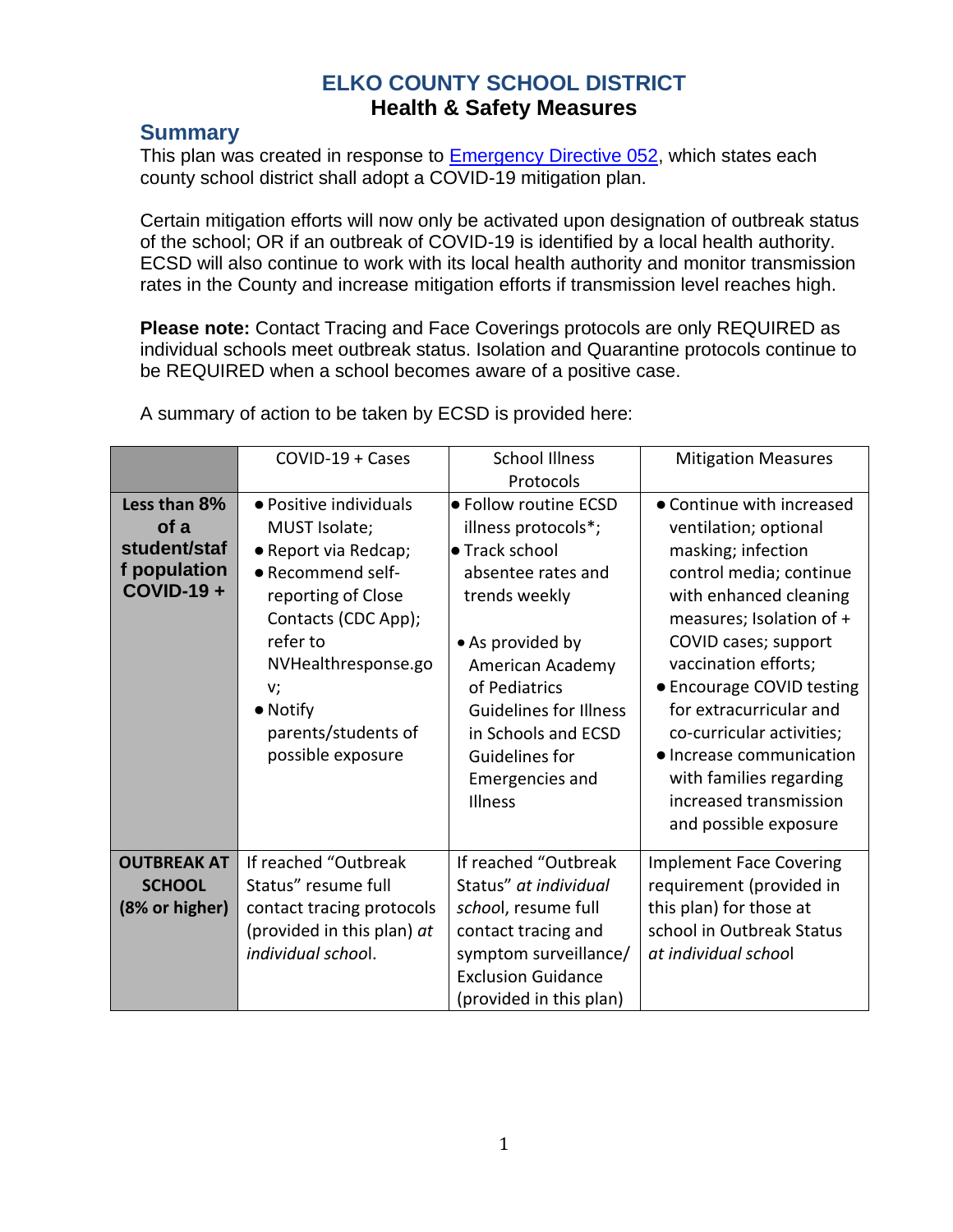# **ELKO COUNTY SCHOOL DISTRICT Health & Safety Measures**

## **Summary**

This plan was created in response to [Emergency Directive 052,](https://nvhealthresponse.nv.gov/wp-content/uploads/2022/02/2.10.22-Removal-of-Masks.pdf) which states each county school district shall adopt a COVID-19 mitigation plan.

Certain mitigation efforts will now only be activated upon designation of outbreak status of the school; OR if an outbreak of COVID-19 is identified by a local health authority. ECSD will also continue to work with its local health authority and monitor transmission rates in the County and increase mitigation efforts if transmission level reaches high.

**Please note:** Contact Tracing and Face Coverings protocols are only REQUIRED as individual schools meet outbreak status. Isolation and Quarantine protocols continue to be REQUIRED when a school becomes aware of a positive case.

|                                                                           | $COVID-19 + Cases$                                                                                                                                                                                                                         | <b>School Illness</b><br>Protocols                                                                                                                                                                                                                                            | <b>Mitigation Measures</b>                                                                                                                                                                                                                                                                                                                                                                               |
|---------------------------------------------------------------------------|--------------------------------------------------------------------------------------------------------------------------------------------------------------------------------------------------------------------------------------------|-------------------------------------------------------------------------------------------------------------------------------------------------------------------------------------------------------------------------------------------------------------------------------|----------------------------------------------------------------------------------------------------------------------------------------------------------------------------------------------------------------------------------------------------------------------------------------------------------------------------------------------------------------------------------------------------------|
| Less than 8%<br>of a<br>student/staf<br>f population<br><b>COVID-19 +</b> | • Positive individuals<br>MUST Isolate;<br>• Report via Redcap;<br>• Recommend self-<br>reporting of Close<br>Contacts (CDC App);<br>refer to<br>NVHealthresponse.go<br>v;<br>$\bullet$ Notify<br>parents/students of<br>possible exposure | ● Follow routine ECSD<br>illness protocols*;<br>• Track school<br>absentee rates and<br>trends weekly<br>• As provided by<br>American Academy<br>of Pediatrics<br><b>Guidelines for Illness</b><br>in Schools and ECSD<br>Guidelines for<br>Emergencies and<br><b>Illness</b> | • Continue with increased<br>ventilation; optional<br>masking; infection<br>control media; continue<br>with enhanced cleaning<br>measures; Isolation of +<br>COVID cases; support<br>vaccination efforts;<br>• Encourage COVID testing<br>for extracurricular and<br>co-curricular activities;<br>• Increase communication<br>with families regarding<br>increased transmission<br>and possible exposure |
| <b>OUTBREAK AT</b><br><b>SCHOOL</b><br>(8% or higher)                     | If reached "Outbreak<br>Status" resume full<br>contact tracing protocols<br>(provided in this plan) at<br>individual school.                                                                                                               | If reached "Outbreak<br>Status" at individual<br>school, resume full<br>contact tracing and<br>symptom surveillance/<br><b>Exclusion Guidance</b><br>(provided in this plan)                                                                                                  | <b>Implement Face Covering</b><br>requirement (provided in<br>this plan) for those at<br>school in Outbreak Status<br>at individual school                                                                                                                                                                                                                                                               |

A summary of action to be taken by ECSD is provided here: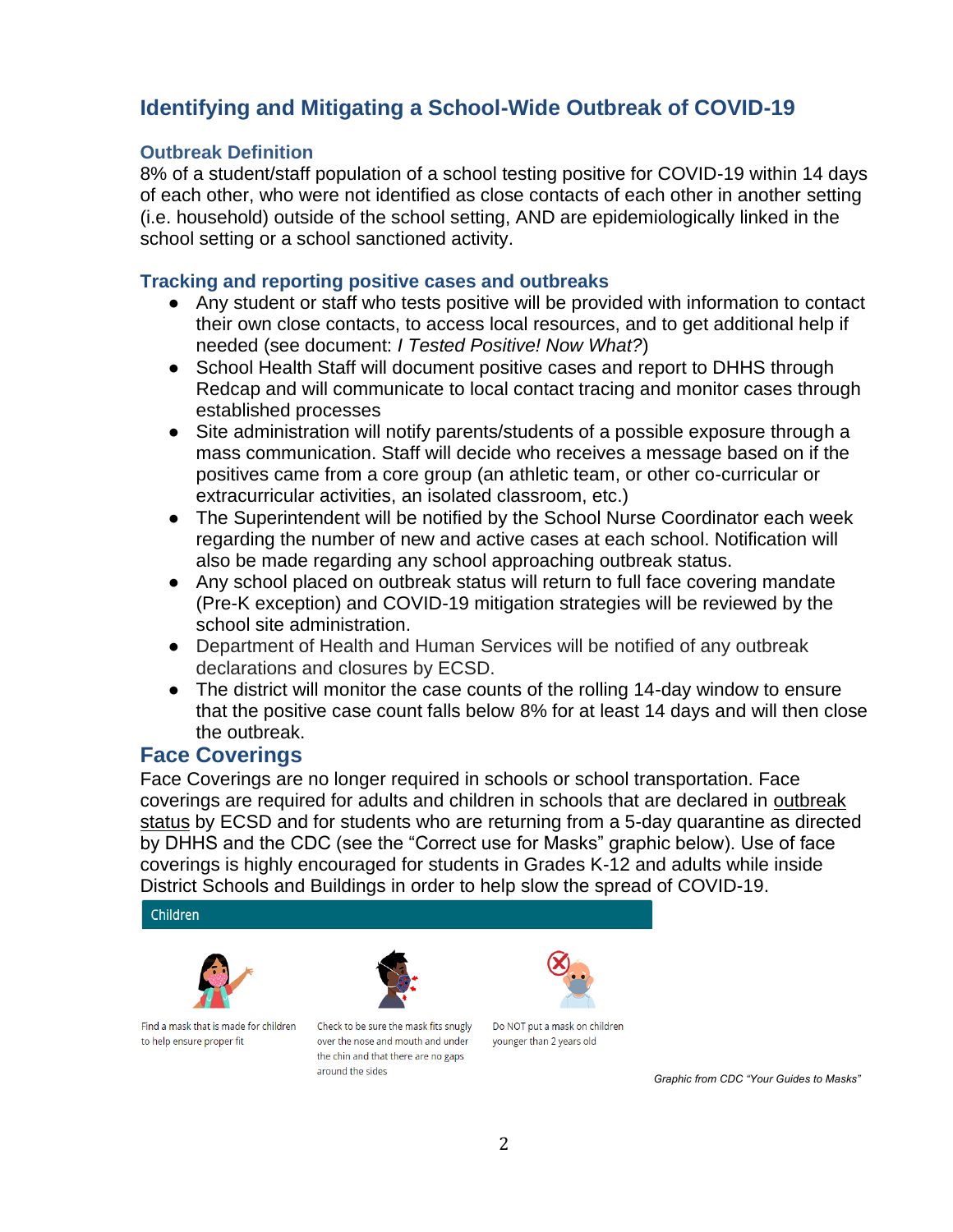# **Identifying and Mitigating a School-Wide Outbreak of COVID-19**

### **Outbreak Definition**

8% of a student/staff population of a school testing positive for COVID-19 within 14 days of each other, who were not identified as close contacts of each other in another setting (i.e. household) outside of the school setting, AND are epidemiologically linked in the school setting or a school sanctioned activity.

### **Tracking and reporting positive cases and outbreaks**

- Any student or staff who tests positive will be provided with information to contact their own close contacts, to access local resources, and to get additional help if needed (see document: *I Tested Positive! Now What?*)
- School Health Staff will document positive cases and report to DHHS through Redcap and will communicate to local contact tracing and monitor cases through established processes
- Site administration will notify parents/students of a possible exposure through a mass communication. Staff will decide who receives a message based on if the positives came from a core group (an athletic team, or other co-curricular or extracurricular activities, an isolated classroom, etc.)
- The Superintendent will be notified by the School Nurse Coordinator each week regarding the number of new and active cases at each school. Notification will also be made regarding any school approaching outbreak status.
- Any school placed on outbreak status will return to full face covering mandate (Pre-K exception) and COVID-19 mitigation strategies will be reviewed by the school site administration.
- Department of Health and Human Services will be notified of any outbreak declarations and closures by ECSD.
- The district will monitor the case counts of the rolling 14-day window to ensure that the positive case count falls below 8% for at least 14 days and will then close the outbreak.

## **Face Coverings**

Face Coverings are no longer required in schools or school transportation. Face coverings are required for adults and children in schools that are declared in outbreak status by ECSD and for students who are returning from a 5-day quarantine as directed by DHHS and the CDC (see the "Correct use for Masks" graphic below). Use of face coverings is highly encouraged for students in Grades K-12 and adults while inside District Schools and Buildings in order to help slow the spread of COVID-19.

Children





Find a mask that is made for children to help ensure proper fit

Check to be sure the mask fits snugly over the nose and mouth and under the chin and that there are no gaps around the sides

Do NOT put a mask on children younger than 2 years old

*Graphic from CDC "Your Guides to Masks"*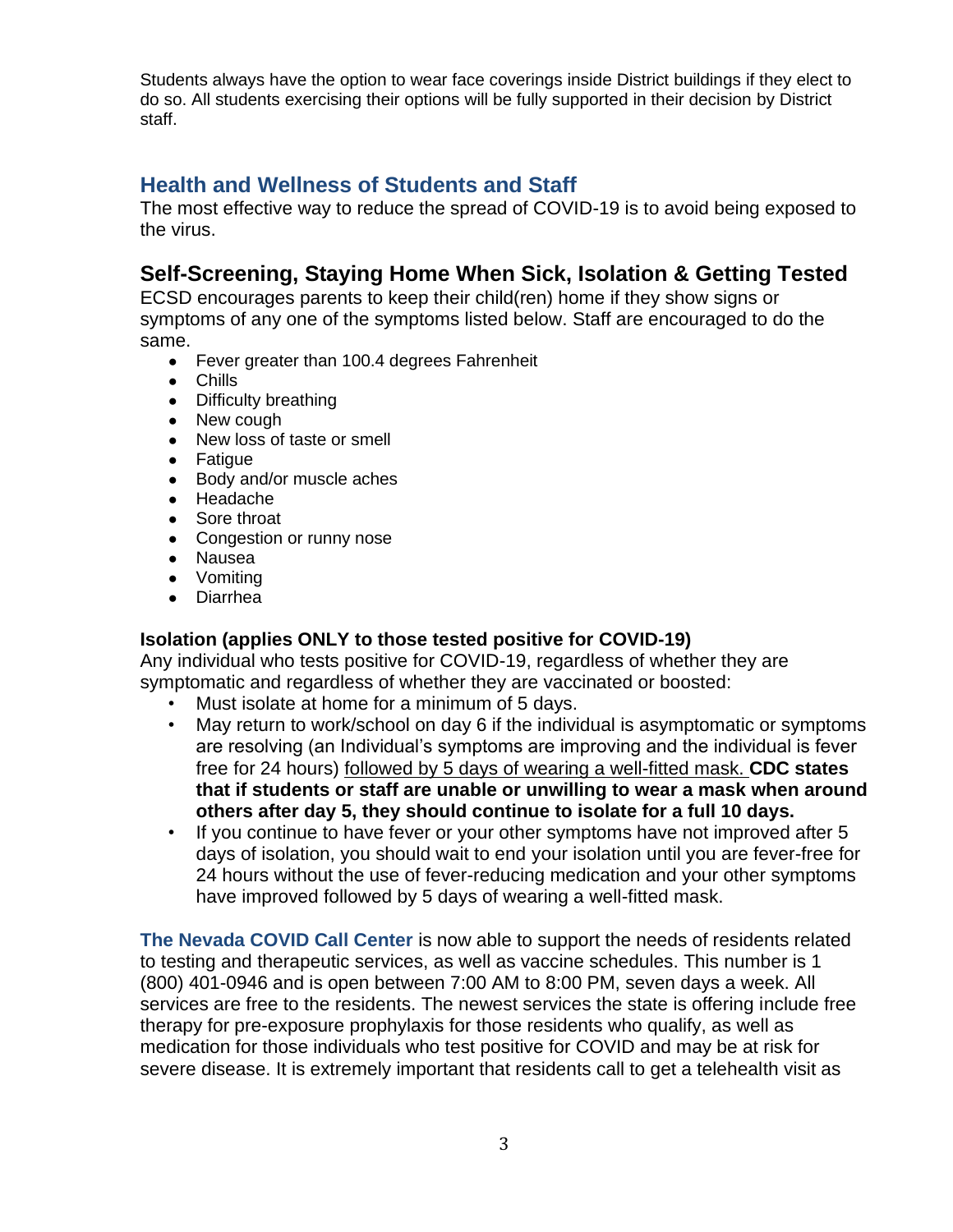Students always have the option to wear face coverings inside District buildings if they elect to do so. All students exercising their options will be fully supported in their decision by District staff.

## **Health and Wellness of Students and Staff**

The most effective way to reduce the spread of COVID-19 is to avoid being exposed to the virus.

# **Self-Screening, Staying Home When Sick, Isolation & Getting Tested**

ECSD encourages parents to keep their child(ren) home if they show signs or symptoms of any one of the symptoms listed below. Staff are encouraged to do the same.

- Fever greater than 100.4 degrees Fahrenheit
- Chills
- Difficulty breathing
- New cough
- New loss of taste or smell
- Fatigue
- Body and/or muscle aches
- Headache
- Sore throat
- Congestion or runny nose
- Nausea
- Vomiting
- Diarrhea

### **Isolation (applies ONLY to those tested positive for COVID-19)**

Any individual who tests positive for COVID-19, regardless of whether they are symptomatic and regardless of whether they are vaccinated or boosted:

- Must isolate at home for a minimum of 5 days.
- May return to work/school on day 6 if the individual is asymptomatic or symptoms are resolving (an Individual's symptoms are improving and the individual is fever free for 24 hours) followed by 5 days of wearing a well-fitted mask. **CDC states that if students or staff are unable or unwilling to wear a mask when around others after day 5, they should continue to isolate for a full 10 days.**
- If you continue to have fever or your other symptoms have not improved after 5 days of isolation, you should wait to end your isolation until you are fever-free for 24 hours without the use of fever-reducing medication and your other symptoms have improved followed by 5 days of wearing a well-fitted mask.

**The Nevada COVID Call Center** is now able to support the needs of residents related to testing and therapeutic services, as well as vaccine schedules. This number is 1 (800) 401-0946 and is open between 7:00 AM to 8:00 PM, seven days a week. All services are free to the residents. The newest services the state is offering include free therapy for pre-exposure prophylaxis for those residents who qualify, as well as medication for those individuals who test positive for COVID and may be at risk for severe disease. It is extremely important that residents call to get a telehealth visit as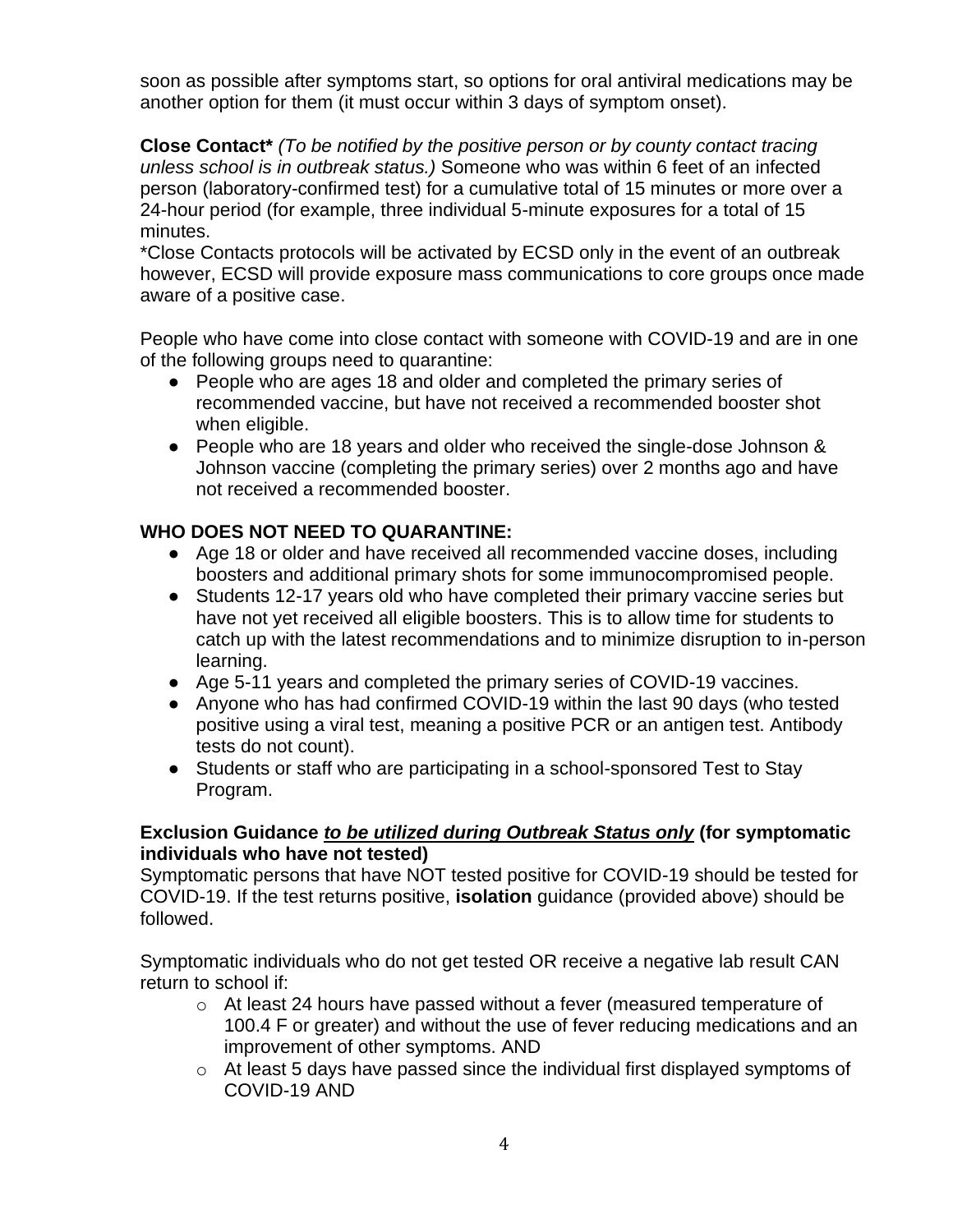soon as possible after symptoms start, so options for oral antiviral medications may be another option for them (it must occur within 3 days of symptom onset).

**Close Contact\*** *(To be notified by the positive person or by county contact tracing unless school is in outbreak status.)* Someone who was within 6 feet of an infected person (laboratory-confirmed test) for a cumulative total of 15 minutes or more over a 24-hour period (for example, three individual 5-minute exposures for a total of 15 minutes.

\*Close Contacts protocols will be activated by ECSD only in the event of an outbreak however, ECSD will provide exposure mass communications to core groups once made aware of a positive case.

People who have come into close contact with someone with COVID-19 and are in one of the following groups need to quarantine:

- People who are ages 18 and older and completed the primary series of recommended vaccine, but have not received a recommended booster shot when eligible.
- People who are 18 years and older who received the single-dose Johnson & Johnson vaccine (completing the primary series) over 2 months ago and have not received a recommended booster.

## **WHO DOES NOT NEED TO QUARANTINE:**

- Age 18 or older and have received all recommended vaccine doses, including boosters and additional primary shots for some immunocompromised people.
- Students 12-17 years old who have completed their primary vaccine series but have not yet received all eligible boosters. This is to allow time for students to catch up with the latest recommendations and to minimize disruption to in-person learning.
- Age 5-11 years and completed the primary series of COVID-19 vaccines.
- Anyone who has had confirmed COVID-19 within the last 90 days (who tested positive using a viral test, meaning a positive PCR or an antigen test. Antibody tests do not count).
- Students or staff who are participating in a school-sponsored Test to Stay Program.

## **Exclusion Guidance** *to be utilized during Outbreak Status only* **(for symptomatic individuals who have not tested)**

Symptomatic persons that have NOT tested positive for COVID-19 should be tested for COVID-19. If the test returns positive, **isolation** guidance (provided above) should be followed.

Symptomatic individuals who do not get tested OR receive a negative lab result CAN return to school if:

- $\circ$  At least 24 hours have passed without a fever (measured temperature of 100.4 F or greater) and without the use of fever reducing medications and an improvement of other symptoms. AND
- o At least 5 days have passed since the individual first displayed symptoms of COVID-19 AND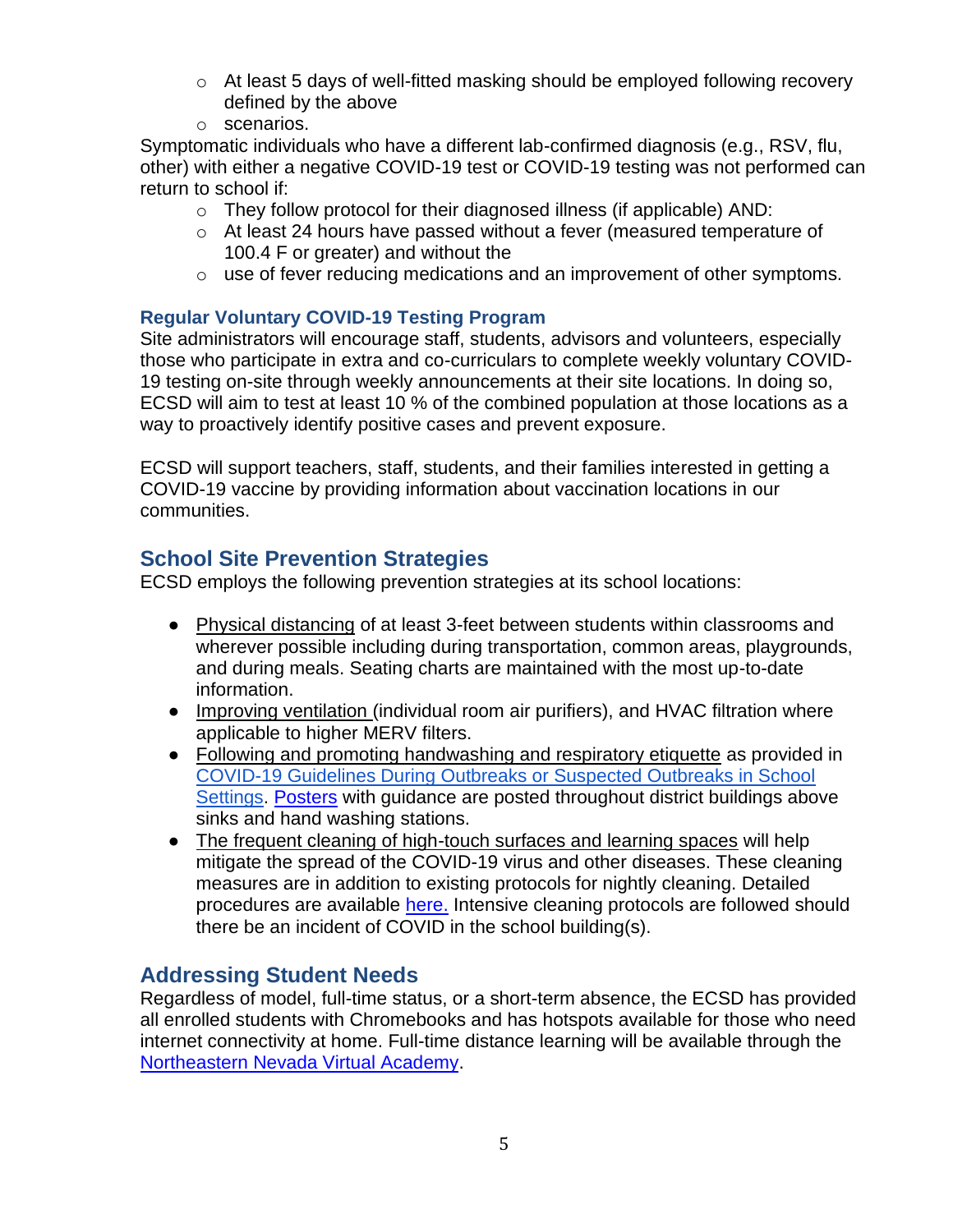- $\circ$  At least 5 days of well-fitted masking should be employed following recovery defined by the above
- o scenarios.

Symptomatic individuals who have a different lab-confirmed diagnosis (e.g., RSV, flu, other) with either a negative COVID-19 test or COVID-19 testing was not performed can return to school if:

- o They follow protocol for their diagnosed illness (if applicable) AND:
- o At least 24 hours have passed without a fever (measured temperature of 100.4 F or greater) and without the
- o use of fever reducing medications and an improvement of other symptoms.

## **Regular Voluntary COVID-19 Testing Program**

Site administrators will encourage staff, students, advisors and volunteers, especially those who participate in extra and co-curriculars to complete weekly voluntary COVID-19 testing on-site through weekly announcements at their site locations. In doing so, ECSD will aim to test at least 10 % of the combined population at those locations as a way to proactively identify positive cases and prevent exposure.

ECSD will support teachers, staff, students, and their families interested in getting a COVID-19 vaccine by providing information about vaccination locations in our communities.

# **School Site Prevention Strategies**

ECSD employs the following prevention strategies at its school locations:

- Physical distancing of at least 3-feet between students within classrooms and wherever possible including during transportation, common areas, playgrounds, and during meals. Seating charts are maintained with the most up-to-date information.
- Improving ventilation (individual room air purifiers), and HVAC filtration where applicable to higher MERV filters.
- Following and promoting handwashing and respiratory etiquette as provided in [COVID-19 Guidelines During Outbreaks or Suspected Outbreaks in School](https://nvhealthresponse.nv.gov/wp-content/uploads/2022/02/2021-22-School-COVID-Guidance_Update_2.17.22_Final.pdf)  [Settings.](https://nvhealthresponse.nv.gov/wp-content/uploads/2022/02/2021-22-School-COVID-Guidance_Update_2.17.22_Final.pdf) [Posters](https://www.cdc.gov/handwashing/pdf/wash-your-hands-poster-english2020-p.pdf) with guidance are posted throughout district buildings above sinks and hand washing stations.
- The frequent cleaning of high-touch surfaces and learning spaces will help mitigate the spread of the COVID-19 virus and other diseases. These cleaning measures are in addition to existing protocols for nightly cleaning. Detailed procedures are available [here.](https://drive.google.com/file/d/1jtpAbRT_vsypvJnEkGrHpdkltLJ12rvc/view?usp=sharing) Intensive cleaning protocols are followed should there be an incident of COVID in the school building(s).

## **Addressing Student Needs**

Regardless of model, full-time status, or a short-term absence, the ECSD has provided all enrolled students with Chromebooks and has hotspots available for those who need internet connectivity at home. Full-time distance learning will be available through the [Northeastern Nevada Virtual Academy.](https://nnva.ecsdnv.net/)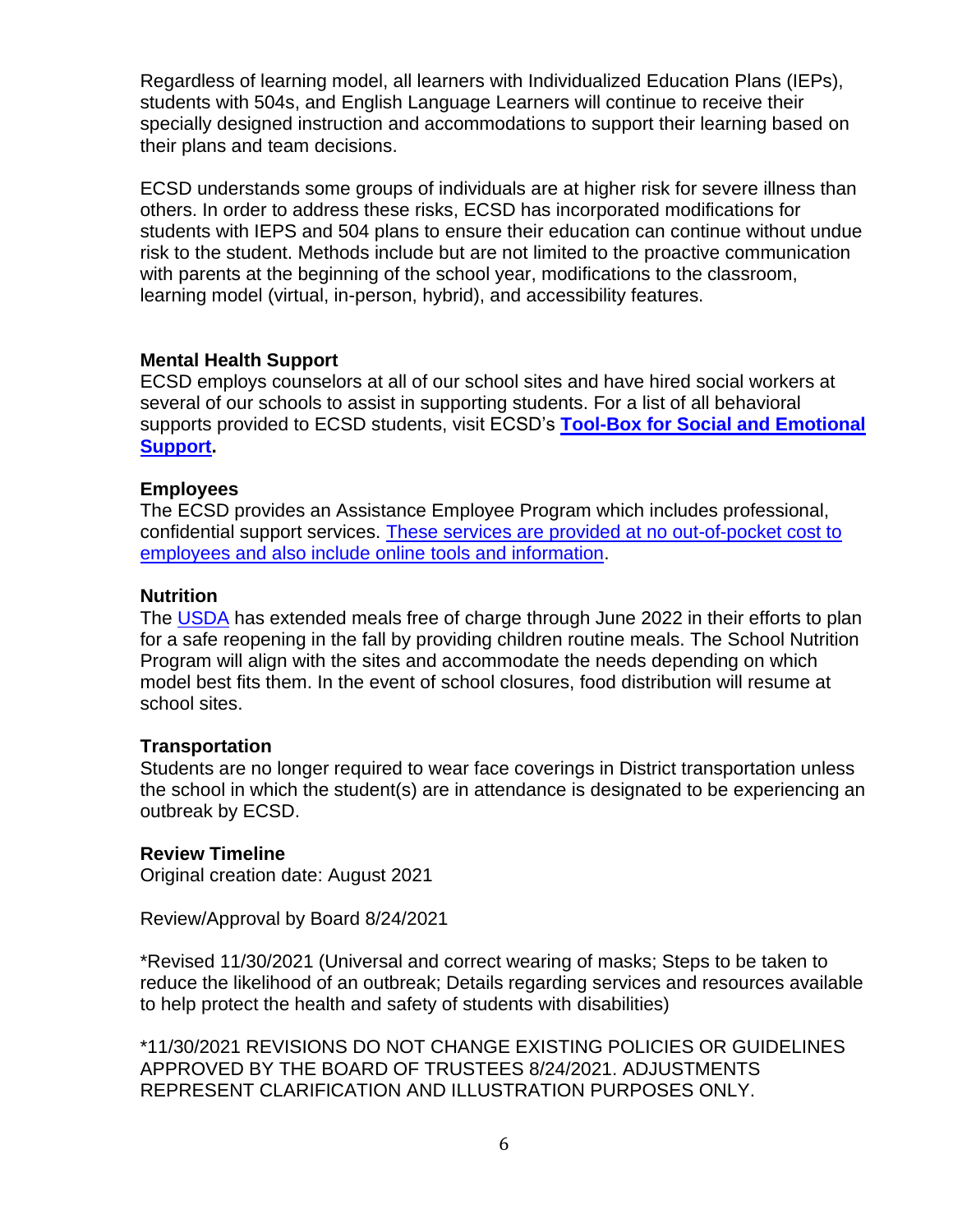Regardless of learning model, all learners with Individualized Education Plans (IEPs), students with 504s, and English Language Learners will continue to receive their specially designed instruction and accommodations to support their learning based on their plans and team decisions.

ECSD understands some groups of individuals are at higher risk for severe illness than others. In order to address these risks, ECSD has incorporated modifications for students with IEPS and 504 plans to ensure their education can continue without undue risk to the student. Methods include but are not limited to the proactive communication with parents at the beginning of the school year, modifications to the classroom, learning model (virtual, in-person, hybrid), and accessibility features.

#### **Mental Health Support**

ECSD employs counselors at all of our school sites and have hired social workers at several of our schools to assist in supporting students. For a list of all behavioral supports provided to ECSD students, visit ECSD's **[Tool-Box for Social and Emotional](https://www.ecsdnv.net/Behavioral-Health-and-Resources)  [Support.](https://www.ecsdnv.net/Behavioral-Health-and-Resources)**

#### **Employees**

The ECSD provides an Assistance Employee Program which includes professional, confidential support services. [These services are provided at no out-of-pocket cost to](https://www.ecsdnv.net/Staff-Resources)  [employees and also include online](https://www.ecsdnv.net/Staff-Resources) tools and information.

#### **Nutrition**

The [USDA](https://www.usda.gov/media/press-releases/2021/04/20/usda-issues-pandemic-flexibilities-schools-and-day-care-facilities) has extended meals free of charge through June 2022 in their efforts to plan for a safe reopening in the fall by providing children routine meals. The School Nutrition Program will align with the sites and accommodate the needs depending on which model best fits them. In the event of school closures, food distribution will resume at school sites.

#### **Transportation**

Students are no longer required to wear face coverings in District transportation unless the school in which the student(s) are in attendance is designated to be experiencing an outbreak by ECSD.

### **Review Timeline**

Original creation date: August 2021

Review/Approval by Board 8/24/2021

\*Revised 11/30/2021 (Universal and correct wearing of masks; Steps to be taken to reduce the likelihood of an outbreak; Details regarding services and resources available to help protect the health and safety of students with disabilities)

\*11/30/2021 REVISIONS DO NOT CHANGE EXISTING POLICIES OR GUIDELINES APPROVED BY THE BOARD OF TRUSTEES 8/24/2021. ADJUSTMENTS REPRESENT CLARIFICATION AND ILLUSTRATION PURPOSES ONLY.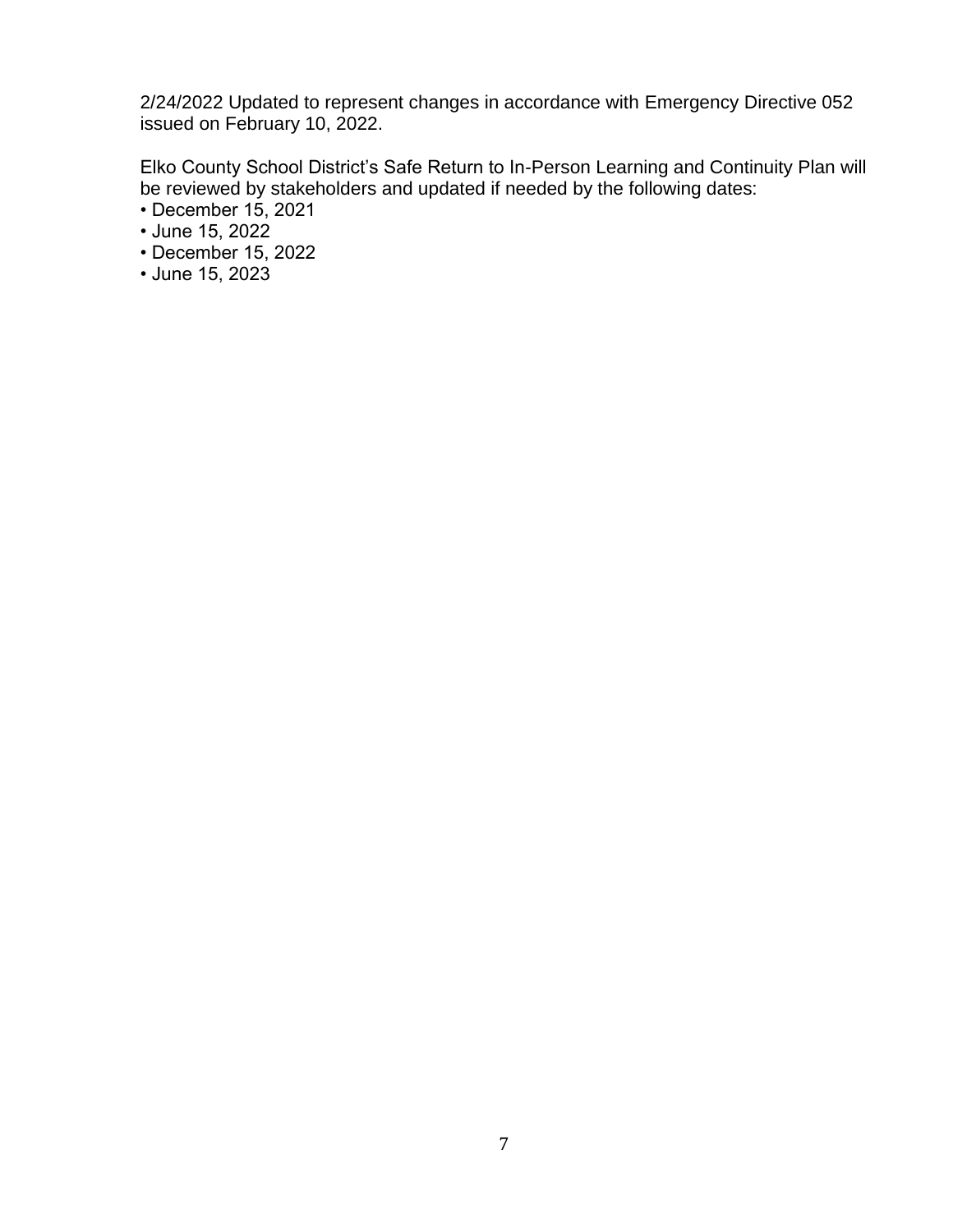2/24/2022 Updated to represent changes in accordance with Emergency Directive 052 issued on February 10, 2022.

Elko County School District's Safe Return to In-Person Learning and Continuity Plan will be reviewed by stakeholders and updated if needed by the following dates:

- December 15, 2021
- June 15, 2022
- December 15, 2022
- June 15, 2023